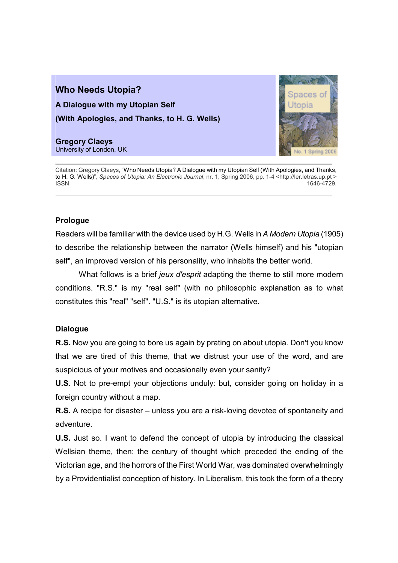## Who Needs Utopia? A Dialogue with my Utopian Self (With Apologies, and Thanks, to H. G. Wells)

Gregory Claeys University of London, UK



Citation: Gregory Claeys, "Who Needs Utopia? A Dialogue with my Utopian Self (With Apologies, and Thanks, to H. G. Wells)", Spaces of Utopia: An Electronic Journal, nr. 1, Spring 2006, pp. 1-4 <http://ler.letras.up.pt >  $1$ SSN  $1646-4729$ .

## Prologue

Readers will be familiar with the device used by H.G. Wells in A Modern Utopia (1905) to describe the relationship between the narrator (Wells himself) and his "utopian self", an improved version of his personality, who inhabits the better world.

What follows is a brief jeux d'esprit adapting the theme to still more modern conditions. "R.S." is my "real self" (with no philosophic explanation as to what constitutes this "real" "self". "U.S." is its utopian alternative.

## **Dialogue**

R.S. Now you are going to bore us again by prating on about utopia. Don't you know that we are tired of this theme, that we distrust your use of the word, and are suspicious of your motives and occasionally even your sanity?

U.S. Not to pre-empt your objections unduly: but, consider going on holiday in a foreign country without a map.

R.S. A recipe for disaster – unless you are a risk-loving devotee of spontaneity and adventure.

U.S. Just so. I want to defend the concept of utopia by introducing the classical Wellsian theme, then: the century of thought which preceded the ending of the Victorian age, and the horrors of the First World War, was dominated overwhelmingly by a Providentialist conception of history. In Liberalism, this took the form of a theory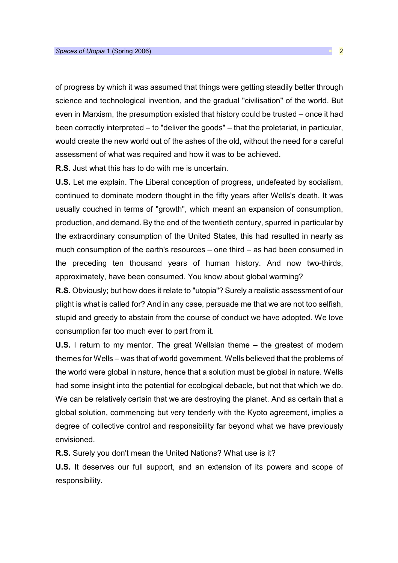of progress by which it was assumed that things were getting steadily better through science and technological invention, and the gradual "civilisation" of the world. But even in Marxism, the presumption existed that history could be trusted – once it had been correctly interpreted – to "deliver the goods" – that the proletariat, in particular, would create the new world out of the ashes of the old, without the need for a careful assessment of what was required and how it was to be achieved.

R.S. Just what this has to do with me is uncertain.

U.S. Let me explain. The Liberal conception of progress, undefeated by socialism, continued to dominate modern thought in the fifty years after Wells's death. It was usually couched in terms of "growth", which meant an expansion of consumption, production, and demand. By the end of the twentieth century, spurred in particular by the extraordinary consumption of the United States, this had resulted in nearly as much consumption of the earth's resources – one third – as had been consumed in the preceding ten thousand years of human history. And now two-thirds, approximately, have been consumed. You know about global warming?

R.S. Obviously; but how does it relate to "utopia"? Surely a realistic assessment of our plight is what is called for? And in any case, persuade me that we are not too selfish, stupid and greedy to abstain from the course of conduct we have adopted. We love consumption far too much ever to part from it.

U.S. I return to my mentor. The great Wellsian theme – the greatest of modern themes for Wells – was that of world government. Wells believed that the problems of the world were global in nature, hence that a solution must be global in nature. Wells had some insight into the potential for ecological debacle, but not that which we do. We can be relatively certain that we are destroying the planet. And as certain that a global solution, commencing but very tenderly with the Kyoto agreement, implies a degree of collective control and responsibility far beyond what we have previously envisioned.

R.S. Surely you don't mean the United Nations? What use is it?

U.S. It deserves our full support, and an extension of its powers and scope of responsibility.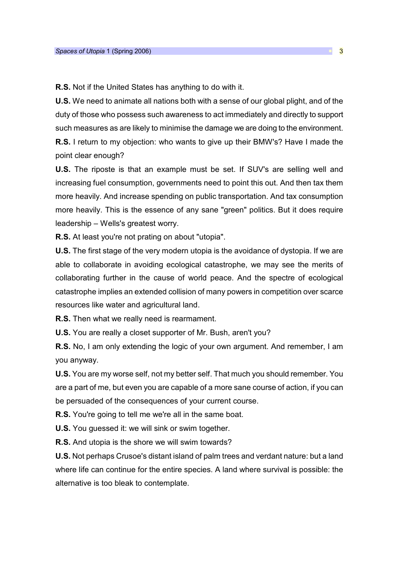R.S. Not if the United States has anything to do with it.

U.S. We need to animate all nations both with a sense of our global plight, and of the duty of those who possess such awareness to act immediately and directly to support such measures as are likely to minimise the damage we are doing to the environment. R.S. I return to my objection: who wants to give up their BMW's? Have I made the point clear enough?

U.S. The riposte is that an example must be set. If SUV's are selling well and increasing fuel consumption, governments need to point this out. And then tax them more heavily. And increase spending on public transportation. And tax consumption more heavily. This is the essence of any sane "green" politics. But it does require leadership – Wells's greatest worry.

R.S. At least you're not prating on about "utopia".

U.S. The first stage of the very modern utopia is the avoidance of dystopia. If we are able to collaborate in avoiding ecological catastrophe, we may see the merits of collaborating further in the cause of world peace. And the spectre of ecological catastrophe implies an extended collision of many powers in competition over scarce resources like water and agricultural land.

R.S. Then what we really need is rearmament.

U.S. You are really a closet supporter of Mr. Bush, aren't you?

R.S. No, I am only extending the logic of your own argument. And remember, I am you anyway.

U.S. You are my worse self, not my better self. That much you should remember. You are a part of me, but even you are capable of a more sane course of action, if you can be persuaded of the consequences of your current course.

R.S. You're going to tell me we're all in the same boat.

U.S. You guessed it: we will sink or swim together.

R.S. And utopia is the shore we will swim towards?

U.S. Not perhaps Crusoe's distant island of palm trees and verdant nature: but a land where life can continue for the entire species. A land where survival is possible: the alternative is too bleak to contemplate.